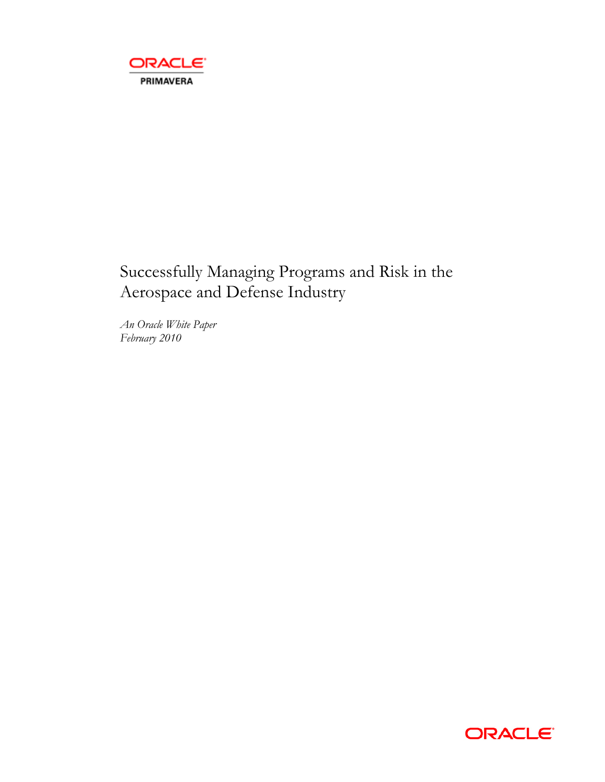

# Successfully Managing Programs and Risk in the Aerospace and Defense Industry

*An Oracle White Paper February 2010* 

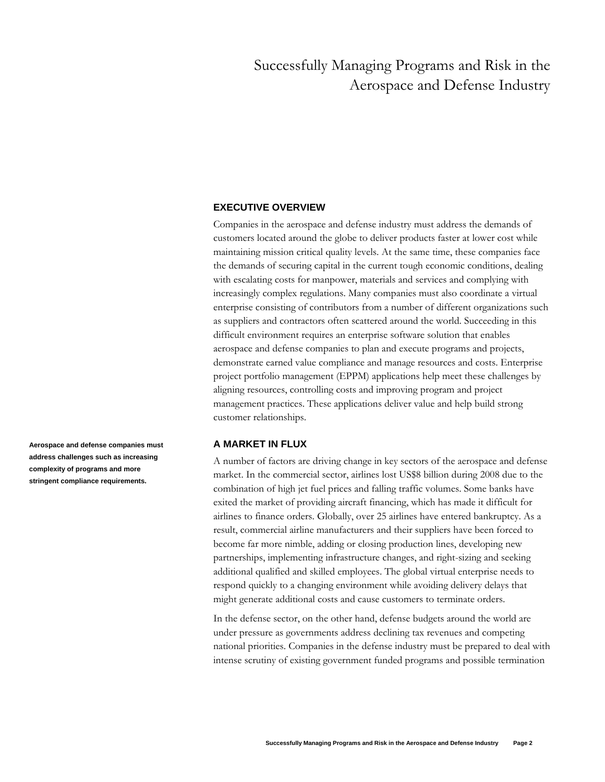## Successfully Managing Programs and Risk in the Aerospace and Defense Industry

#### **EXECUTIVE OVERVIEW**

Companies in the aerospace and defense industry must address the demands of customers located around the globe to deliver products faster at lower cost while maintaining mission critical quality levels. At the same time, these companies face the demands of securing capital in the current tough economic conditions, dealing with escalating costs for manpower, materials and services and complying with increasingly complex regulations. Many companies must also coordinate a virtual enterprise consisting of contributors from a number of different organizations such as suppliers and contractors often scattered around the world. Succeeding in this difficult environment requires an enterprise software solution that enables aerospace and defense companies to plan and execute programs and projects, demonstrate earned value compliance and manage resources and costs. Enterprise project portfolio management (EPPM) applications help meet these challenges by aligning resources, controlling costs and improving program and project management practices. These applications deliver value and help build strong customer relationships.

A number of factors are driving change in key sectors of the aerospace and defense market. In the commercial sector, airlines lost US\$8 billion during 2008 due to the combination of high jet fuel prices and falling traffic volumes. Some banks have exited the market of providing aircraft financing, which has made it difficult for airlines to finance orders. Globally, over 25 airlines have entered bankruptcy. As a result, commercial airline manufacturers and their suppliers have been forced to become far more nimble, adding or closing production lines, developing new partnerships, implementing infrastructure changes, and right-sizing and seeking additional qualified and skilled employees. The global virtual enterprise needs to respond quickly to a changing environment while avoiding delivery delays that might generate additional costs and cause customers to terminate orders.

In the defense sector, on the other hand, defense budgets around the world are under pressure as governments address declining tax revenues and competing national priorities. Companies in the defense industry must be prepared to deal with intense scrutiny of existing government funded programs and possible termination

Aerospace and defense companies must **A MARKET IN FLUX address challenges such as increasing complexity of programs and more stringent compliance requirements.**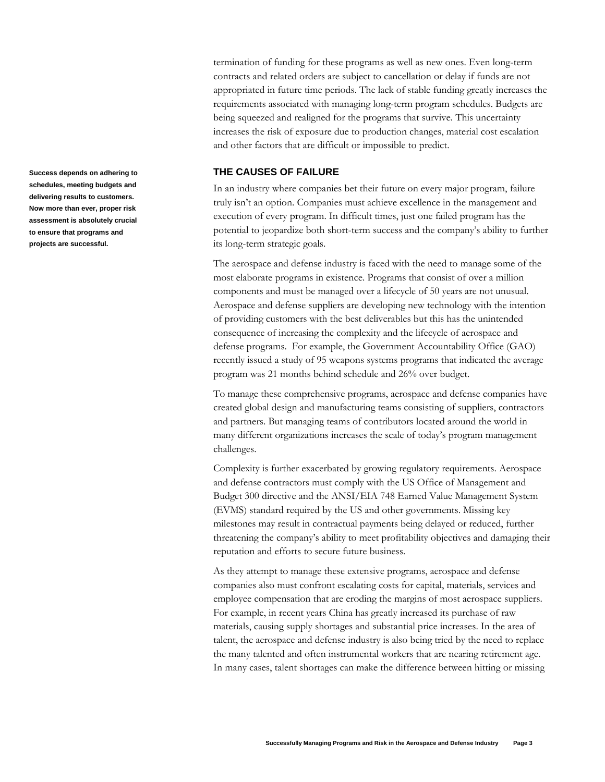termination of funding for these programs as well as new ones. Even long-term contracts and related orders are subject to cancellation or delay if funds are not appropriated in future time periods. The lack of stable funding greatly increases the requirements associated with managing long-term program schedules. Budgets are being squeezed and realigned for the programs that survive. This uncertainty increases the risk of exposure due to production changes, material cost escalation and other factors that are difficult or impossible to predict.

#### **Success depends on adhering to THE CAUSES OF FAILURE**

In an industry where companies bet their future on every major program, failure truly isn't an option. Companies must achieve excellence in the management and execution of every program. In difficult times, just one failed program has the potential to jeopardize both short-term success and the company's ability to further its long-term strategic goals.

The aerospace and defense industry is faced with the need to manage some of the most elaborate programs in existence. Programs that consist of over a million components and must be managed over a lifecycle of 50 years are not unusual. Aerospace and defense suppliers are developing new technology with the intention of providing customers with the best deliverables but this has the unintended consequence of increasing the complexity and the lifecycle of aerospace and defense programs. For example, the Government Accountability Office (GAO) recently issued a study of 95 weapons systems programs that indicated the average program was 21 months behind schedule and 26% over budget.

To manage these comprehensive programs, aerospace and defense companies have created global design and manufacturing teams consisting of suppliers, contractors and partners. But managing teams of contributors located around the world in many different organizations increases the scale of today's program management challenges.

Complexity is further exacerbated by growing regulatory requirements. Aerospace and defense contractors must comply with the US Office of Management and Budget 300 directive and the ANSI/EIA 748 Earned Value Management System (EVMS) standard required by the US and other governments. Missing key milestones may result in contractual payments being delayed or reduced, further threatening the company's ability to meet profitability objectives and damaging their reputation and efforts to secure future business.

As they attempt to manage these extensive programs, aerospace and defense companies also must confront escalating costs for capital, materials, services and employee compensation that are eroding the margins of most aerospace suppliers. For example, in recent years China has greatly increased its purchase of raw materials, causing supply shortages and substantial price increases. In the area of talent, the aerospace and defense industry is also being tried by the need to replace the many talented and often instrumental workers that are nearing retirement age. In many cases, talent shortages can make the difference between hitting or missing

**schedules, meeting budgets and delivering results to customers. Now more than ever, proper risk assessment is absolutely crucial to ensure that programs and projects are successful.**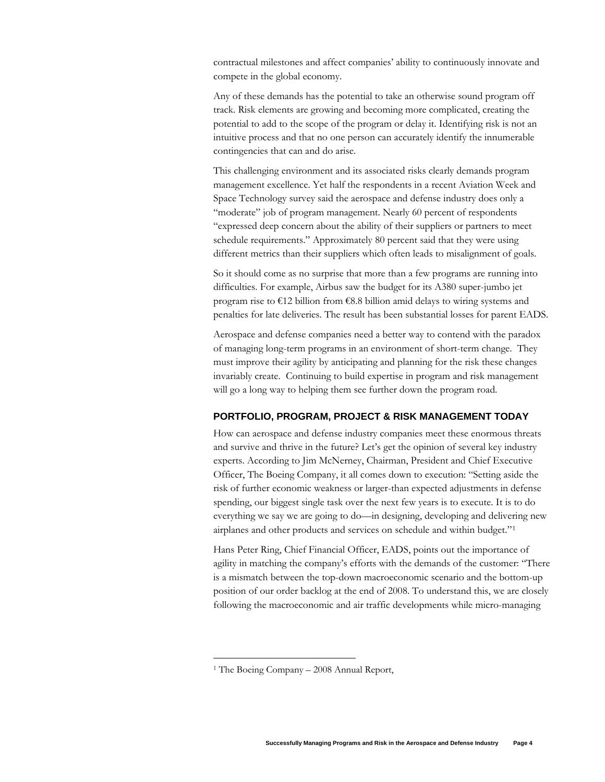contractual milestones and affect companies' ability to continuously innovate and compete in the global economy.

Any of these demands has the potential to take an otherwise sound program off track. Risk elements are growing and becoming more complicated, creating the potential to add to the scope of the program or delay it. Identifying risk is not an intuitive process and that no one person can accurately identify the innumerable contingencies that can and do arise.

This challenging environment and its associated risks clearly demands program management excellence. Yet half the respondents in a recent Aviation Week and Space Technology survey said the aerospace and defense industry does only a "moderate" job of program management. Nearly 60 percent of respondents "expressed deep concern about the ability of their suppliers or partners to meet schedule requirements." Approximately 80 percent said that they were using different metrics than their suppliers which often leads to misalignment of goals.

So it should come as no surprise that more than a few programs are running into difficulties. For example, Airbus saw the budget for its A380 super-jumbo jet program rise to €12 billion from €8.8 billion amid delays to wiring systems and penalties for late deliveries. The result has been substantial losses for parent EADS.

Aerospace and defense companies need a better way to contend with the paradox of managing long-term programs in an environment of short-term change. They must improve their agility by anticipating and planning for the risk these changes invariably create. Continuing to build expertise in program and risk management will go a long way to helping them see further down the program road.

#### **PORTFOLIO, PROGRAM, PROJECT & RISK MANAGEMENT TODAY**

How can aerospace and defense industry companies meet these enormous threats and survive and thrive in the future? Let's get the opinion of several key industry experts. According to Jim McNerney, Chairman, President and Chief Executive Officer, The Boeing Company, it all comes down to execution: "Setting aside the risk of further economic weakness or larger-than expected adjustments in defense spending, our biggest single task over the next few years is to execute. It is to do everything we say we are going to do—in designing, developing and delivering new airplanes and other products and services on schedule and within budget."[1](#page-3-0)

Hans Peter Ring, Chief Financial Officer, EADS, points out the importance of agility in matching the company's efforts with the demands of the customer: "There is a mismatch between the top-down macroeconomic scenario and the bottom-up position of our order backlog at the end of 2008. To understand this, we are closely following the macroeconomic and air traffic developments while micro-managing

 $\overline{a}$ 

<span id="page-3-0"></span><sup>1</sup> The Boeing Company – 2008 Annual Report,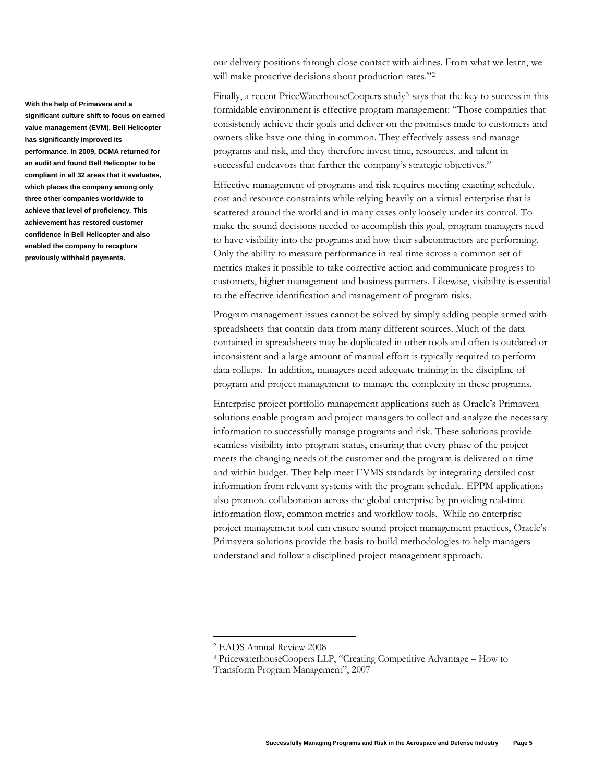**With the help of Primavera and a significant culture shift to focus on earned value management (EVM), Bell Helicopter has significantly improved its performance. In 2009, DCMA returned for an audit and found Bell Helicopter to be compliant in all 32 areas that it evaluates, which places the company among only three other companies worldwide to achieve that level of proficiency. This achievement has restored customer confidence in Bell Helicopter and also enabled the company to recapture previously withheld payments.** 

our delivery positions through close contact with airlines. From what we learn, we will make proactive decisions about production rates."<sup>[2](#page-4-0)</sup>

Finally, a recent PriceWaterhouseCoopers study<sup>[3](#page-4-1)</sup> says that the key to success in this formidable environment is effective program management: "Those companies that consistently achieve their goals and deliver on the promises made to customers and owners alike have one thing in common. They effectively assess and manage programs and risk, and they therefore invest time, resources, and talent in successful endeavors that further the company's strategic objectives."

Effective management of programs and risk requires meeting exacting schedule, cost and resource constraints while relying heavily on a virtual enterprise that is scattered around the world and in many cases only loosely under its control. To make the sound decisions needed to accomplish this goal, program managers need to have visibility into the programs and how their subcontractors are performing. Only the ability to measure performance in real time across a common set of metrics makes it possible to take corrective action and communicate progress to customers, higher management and business partners. Likewise, visibility is essential to the effective identification and management of program risks.

Program management issues cannot be solved by simply adding people armed with spreadsheets that contain data from many different sources. Much of the data contained in spreadsheets may be duplicated in other tools and often is outdated or inconsistent and a large amount of manual effort is typically required to perform data rollups. In addition, managers need adequate training in the discipline of program and project management to manage the complexity in these programs.

Enterprise project portfolio management applications such as Oracle's Primavera solutions enable program and project managers to collect and analyze the necessary information to successfully manage programs and risk. These solutions provide seamless visibility into program status, ensuring that every phase of the project meets the changing needs of the customer and the program is delivered on time and within budget. They help meet EVMS standards by integrating detailed cost information from relevant systems with the program schedule. EPPM applications also promote collaboration across the global enterprise by providing real-time information flow, common metrics and workflow tools. While no enterprise project management tool can ensure sound project management practices, Oracle's Primavera solutions provide the basis to build methodologies to help managers understand and follow a disciplined project management approach.

 $\overline{a}$ 

<sup>2</sup> EADS Annual Review 2008

<span id="page-4-1"></span><span id="page-4-0"></span><sup>3</sup> PricewaterhouseCoopers LLP, "Creating Competitive Advantage – How to Transform Program Management", 2007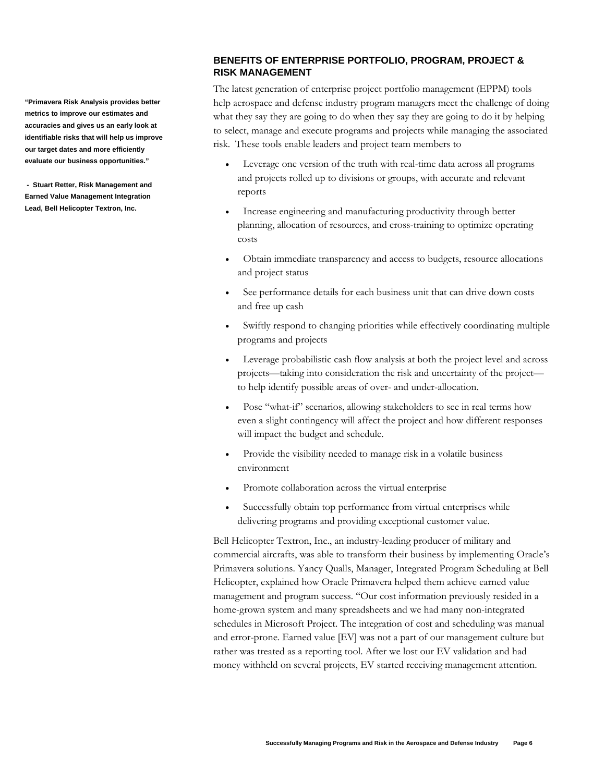**"Primavera Risk Analysis provides better metrics to improve our estimates and accuracies and gives us an early look at identifiable risks that will help us improve our target dates and more efficiently evaluate our business opportunities."** 

 **- Stuart Retter, Risk Management and Earned Value Management Integration Lead, Bell Helicopter Textron, Inc.** 

### **BENEFITS OF ENTERPRISE PORTFOLIO, PROGRAM, PROJECT & RISK MANAGEMENT**

The latest generation of enterprise project portfolio management (EPPM) tools help aerospace and defense industry program managers meet the challenge of doing what they say they are going to do when they say they are going to do it by helping to select, manage and execute programs and projects while managing the associated risk. These tools enable leaders and project team members to

- Leverage one version of the truth with real-time data across all programs and projects rolled up to divisions or groups, with accurate and relevant reports
- Increase engineering and manufacturing productivity through better planning, allocation of resources, and cross-training to optimize operating costs
- Obtain immediate transparency and access to budgets, resource allocations and project status
- See performance details for each business unit that can drive down costs and free up cash
- Swiftly respond to changing priorities while effectively coordinating multiple programs and projects
- Leverage probabilistic cash flow analysis at both the project level and across projects—taking into consideration the risk and uncertainty of the project to help identify possible areas of over- and under-allocation.
- Pose "what-if" scenarios, allowing stakeholders to see in real terms how even a slight contingency will affect the project and how different responses will impact the budget and schedule.
- Provide the visibility needed to manage risk in a volatile business environment
- Promote collaboration across the virtual enterprise
- Successfully obtain top performance from virtual enterprises while delivering programs and providing exceptional customer value.

Bell Helicopter Textron, Inc., an industry-leading producer of military and commercial aircrafts, was able to transform their business by implementing Oracle's Primavera solutions. Yancy Qualls, Manager, Integrated Program Scheduling at Bell Helicopter, explained how Oracle Primavera helped them achieve earned value management and program success. "Our cost information previously resided in a home-grown system and many spreadsheets and we had many non-integrated schedules in Microsoft Project. The integration of cost and scheduling was manual and error-prone. Earned value [EV] was not a part of our management culture but rather was treated as a reporting tool. After we lost our EV validation and had money withheld on several projects, EV started receiving management attention.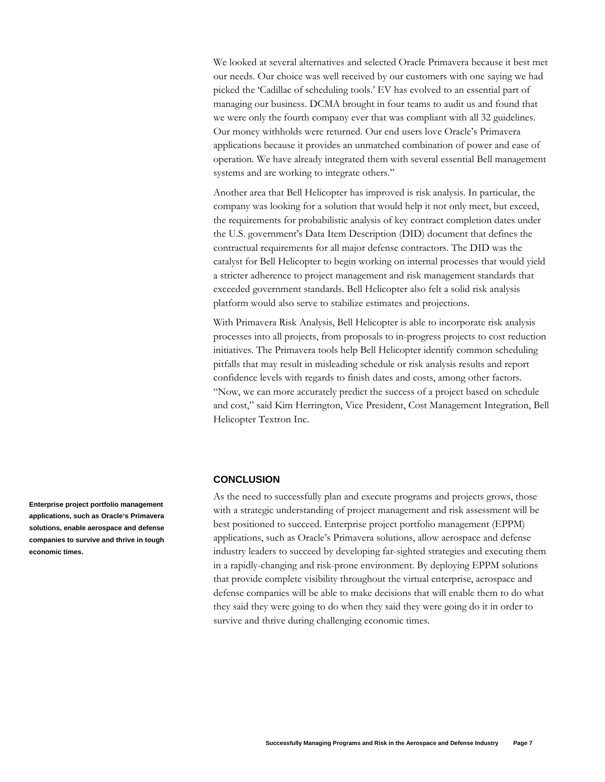We looked at several alternatives and selected Oracle Primavera because it best met our needs. Our choice was well received by our customers with one saying we had picked the 'Cadillac of scheduling tools.' EV has evolved to an essential part of managing our business. DCMA brought in four teams to audit us and found that we were only the fourth company ever that was compliant with all 32 guidelines. Our money withholds were returned. Our end users love Oracle's Primavera applications because it provides an unmatched combination of power and ease of operation. We have already integrated them with several essential Bell management systems and are working to integrate others."

Another area that Bell Helicopter has improved is risk analysis. In particular, the company was looking for a solution that would help it not only meet, but exceed, the requirements for probabilistic analysis of key contract completion dates under the U.S. government's Data Item Description (DID) document that defines the contractual requirements for all major defense contractors. The DID was the catalyst for Bell Helicopter to begin working on internal processes that would yield a stricter adherence to project management and risk management standards that exceeded government standards. Bell Helicopter also felt a solid risk analysis platform would also serve to stabilize estimates and projections.

With Primavera Risk Analysis, Bell Helicopter is able to incorporate risk analysis processes into all projects, from proposals to in-progress projects to cost reduction initiatives. The Primavera tools help Bell Helicopter identify common scheduling pitfalls that may result in misleading schedule or risk analysis results and report confidence levels with regards to finish dates and costs, among other factors. "Now, we can more accurately predict the success of a project based on schedule and cost," said Kim Herrington, Vice President, Cost Management Integration, Bell Helicopter Textron Inc.

#### **CONCLUSION**

As the need to successfully plan and execute programs and projects grows, those with a strategic understanding of project management and risk assessment will be best positioned to succeed. Enterprise project portfolio management (EPPM) applications, such as Oracle's Primavera solutions, allow aerospace and defense industry leaders to succeed by developing far-sighted strategies and executing them in a rapidly-changing and risk-prone environment. By deploying EPPM solutions that provide complete visibility throughout the virtual enterprise, aerospace and defense companies will be able to make decisions that will enable them to do what they said they were going to do when they said they were going do it in order to survive and thrive during challenging economic times.

**Enterprise project portfolio management applications, such as Oracle's Primavera solutions, enable aerospace and defense companies to survive and thrive in tough economic times.**